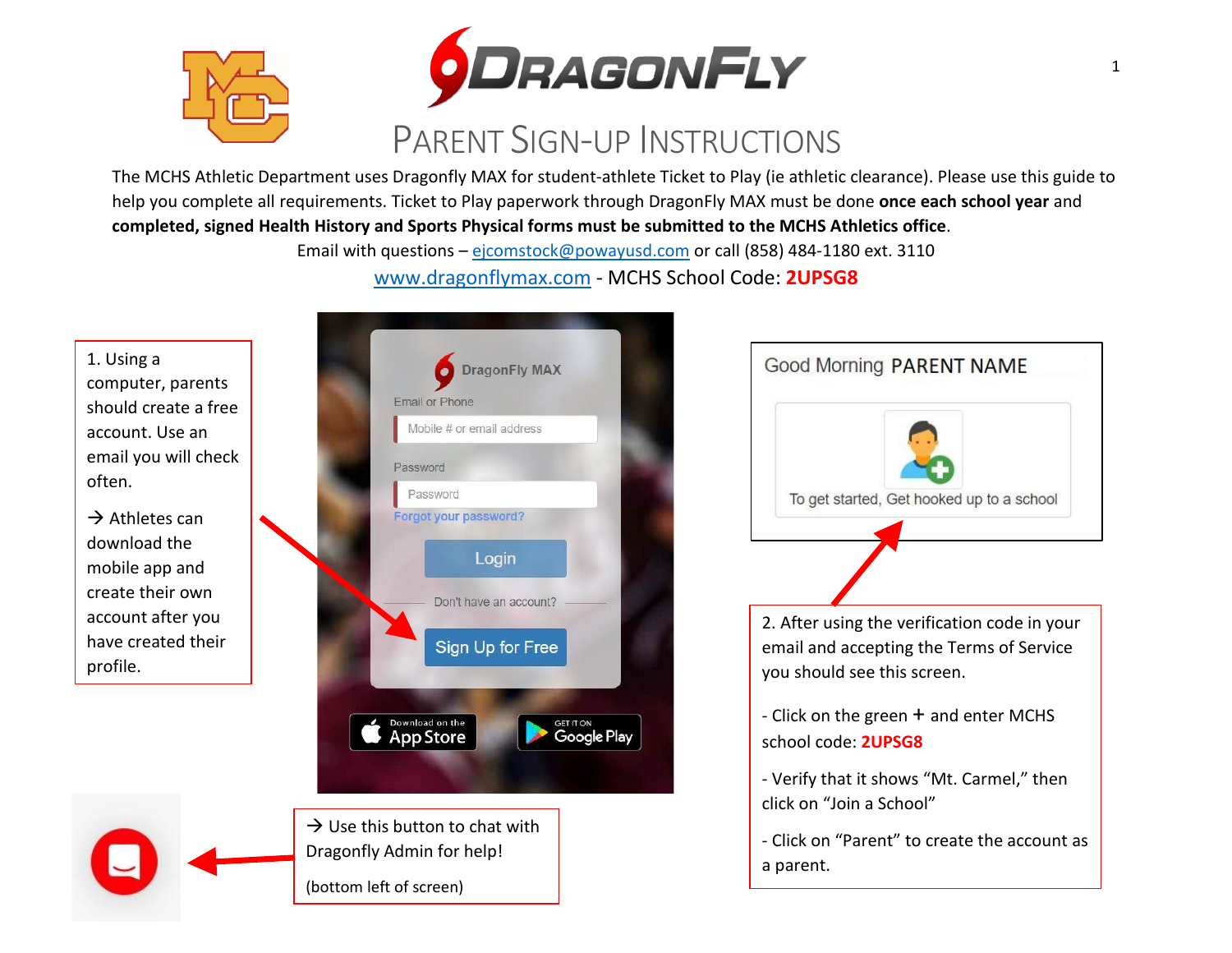



The MCHS Athletic Department uses Dragonfly MAX for student-athlete Ticket to Play (ie athletic clearance). Please use this guide to

help you complete all requirements. Ticket to Play paperwork through DragonFly MAX must be done **once each school year** and **completed, signed Health History and Sports Physical forms must be submitted to the MCHS Athletics office**.

Email with questions – [ejcomstock@powayusd.com](mailto:ejcomstock@powayusd.com) or call (858) 484-1180 ext. 3110

[www.dragonflymax.com](http://www.dragonflymax.com/) - MCHS School Code: **2UPSG8**

1. Using a computer, parents should create a free account. Use an email you will check often.

 $\rightarrow$  Athletes can download the mobile app and create their own account after you have created their profile.



 $\rightarrow$  Use this button to chat with Dragonfly Admin for help! (bottom left of screen)

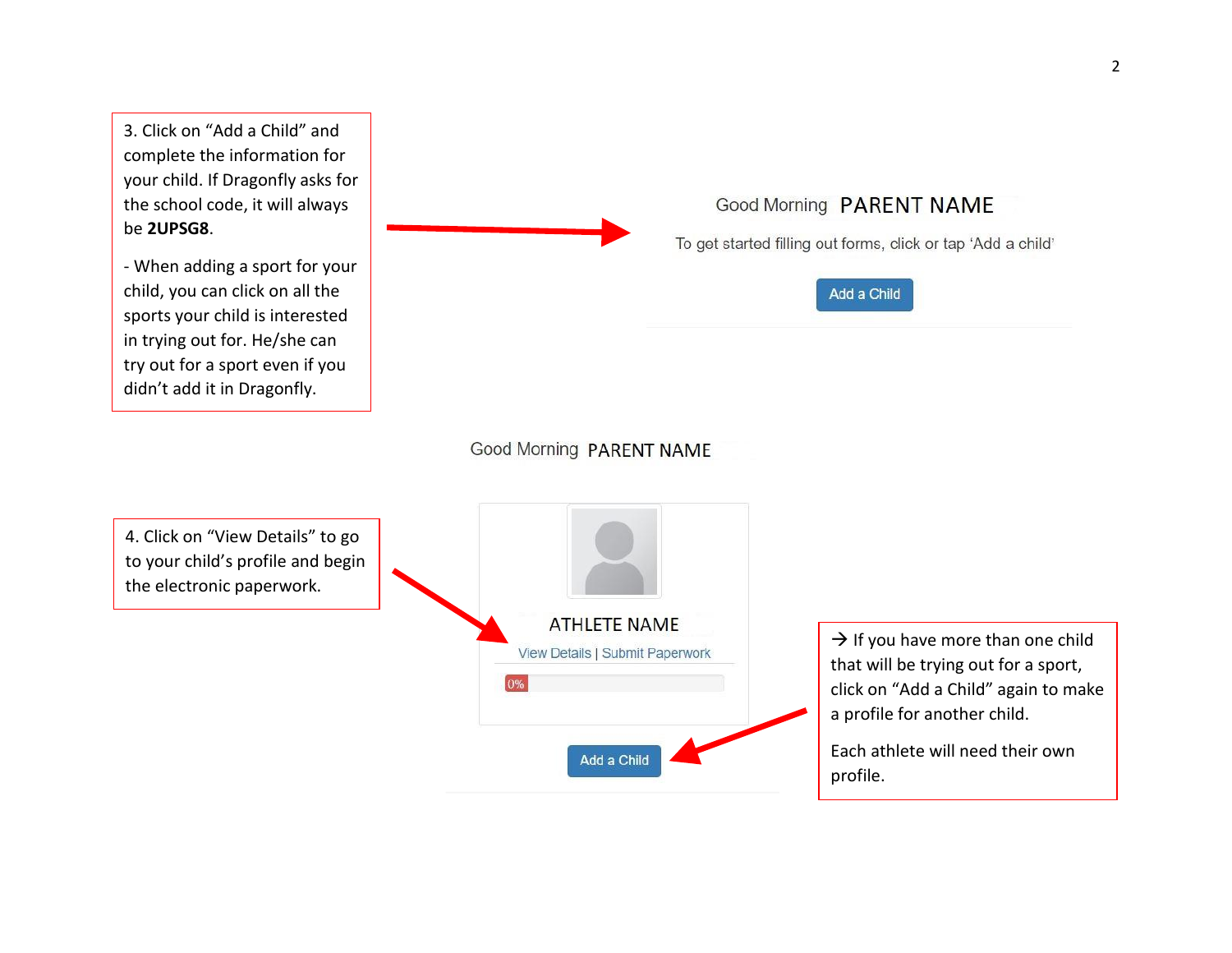3. Click on "Add a Child" and complete the information for your child. If Dragonfly asks for the school code, it will always Good Morning PARENT NAME be **2UPSG8**. To get started filling out forms, click or tap 'Add a child' - When adding a sport for your child, you can click on all the Add a Child sports your child is interested in trying out for. He/she can try out for a sport even if you didn't add it in Dragonfly. Good Morning PARENT NAME 4. Click on "View Details" to go to your child's profile and begin the electronic paperwork. **ATHLETE NAME**  $\rightarrow$  If you have more than one child View Details | Submit Paperwork that will be trying out for a sport, 0% click on "Add a Child" again to make a profile for another child. Each athlete will need their own Add a Child profile.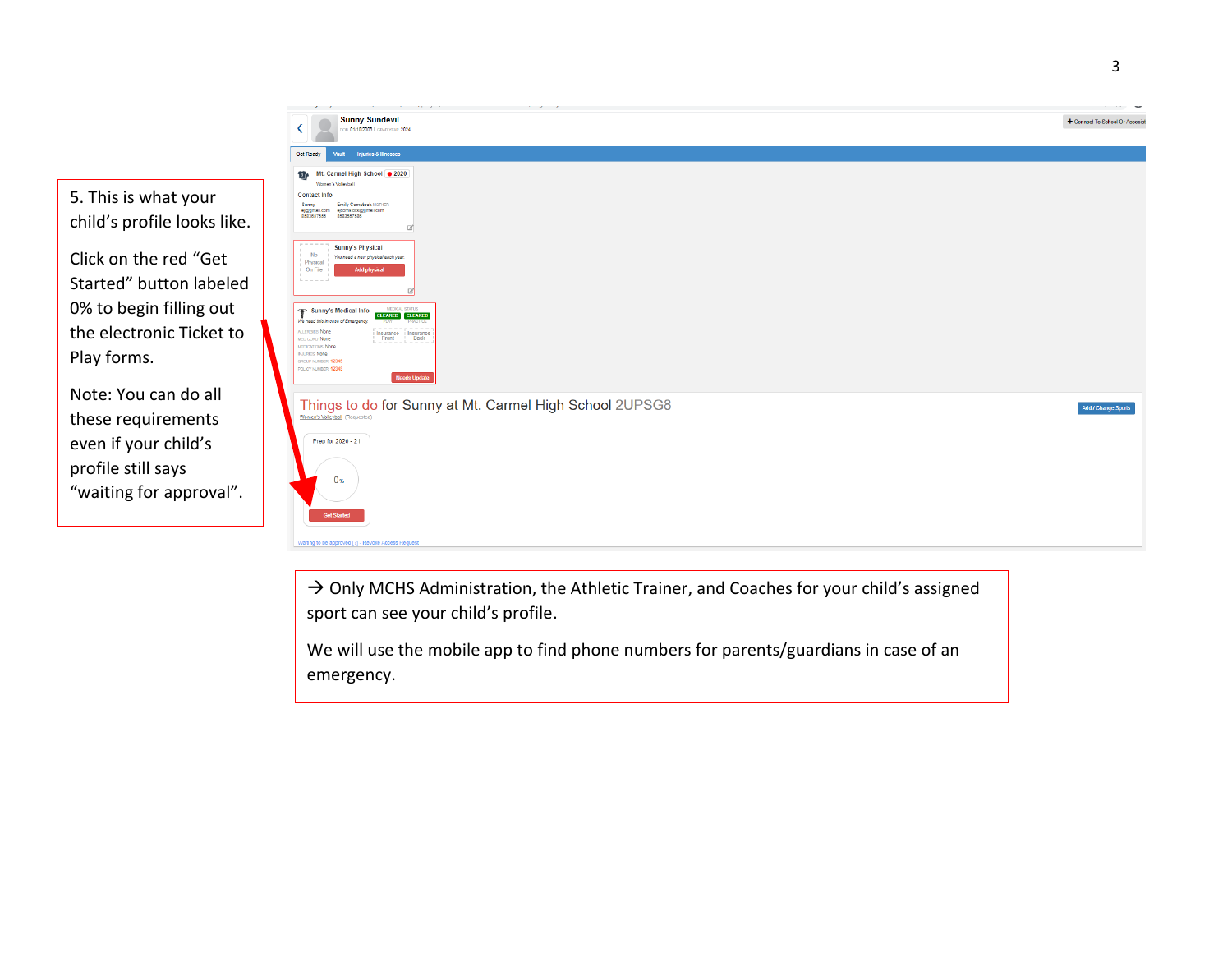

 $\rightarrow$  Only MCHS Administration, the Athletic Trainer, and Coaches for your child's assigned sport can see your child's profile.

We will use the mobile app to find phone numbers for parents/guardians in case of an emergency.

5. This is what your child's profile looks like.

Click on the red "Get Started" button labeled 0% to begin filling out the electronic Ticket to Play forms.

Note: You can do all these requirements even if your child's profile still says "waiting for approval".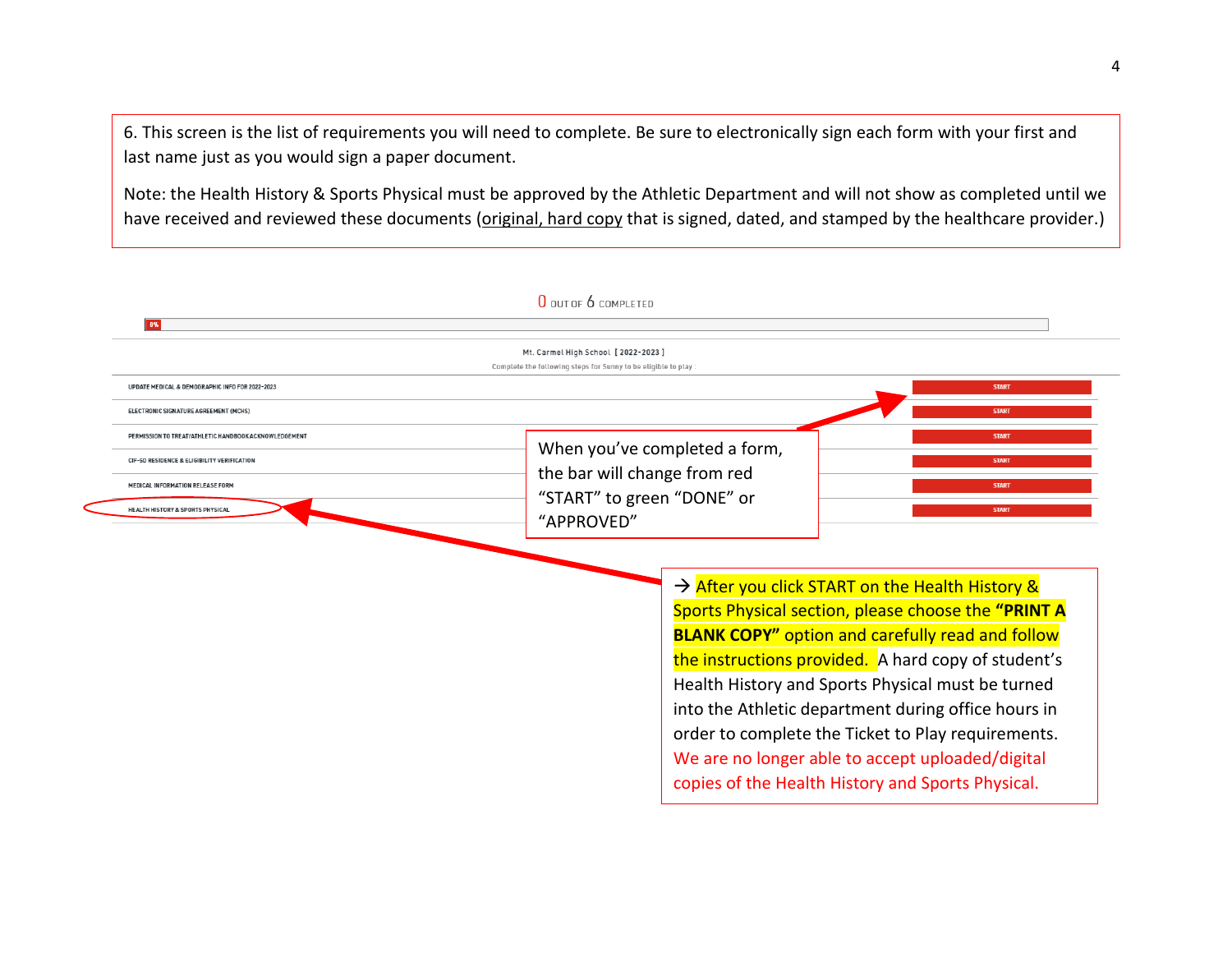6. This screen is the list of requirements you will need to complete. Be sure to electronically sign each form with your first and last name just as you would sign a paper document.

Note: the Health History & Sports Physical must be approved by the Athletic Department and will not show as completed until we have received and reviewed these documents (original, hard copy that is signed, dated, and stamped by the healthcare provider.)



copies of the Health History and Sports Physical.